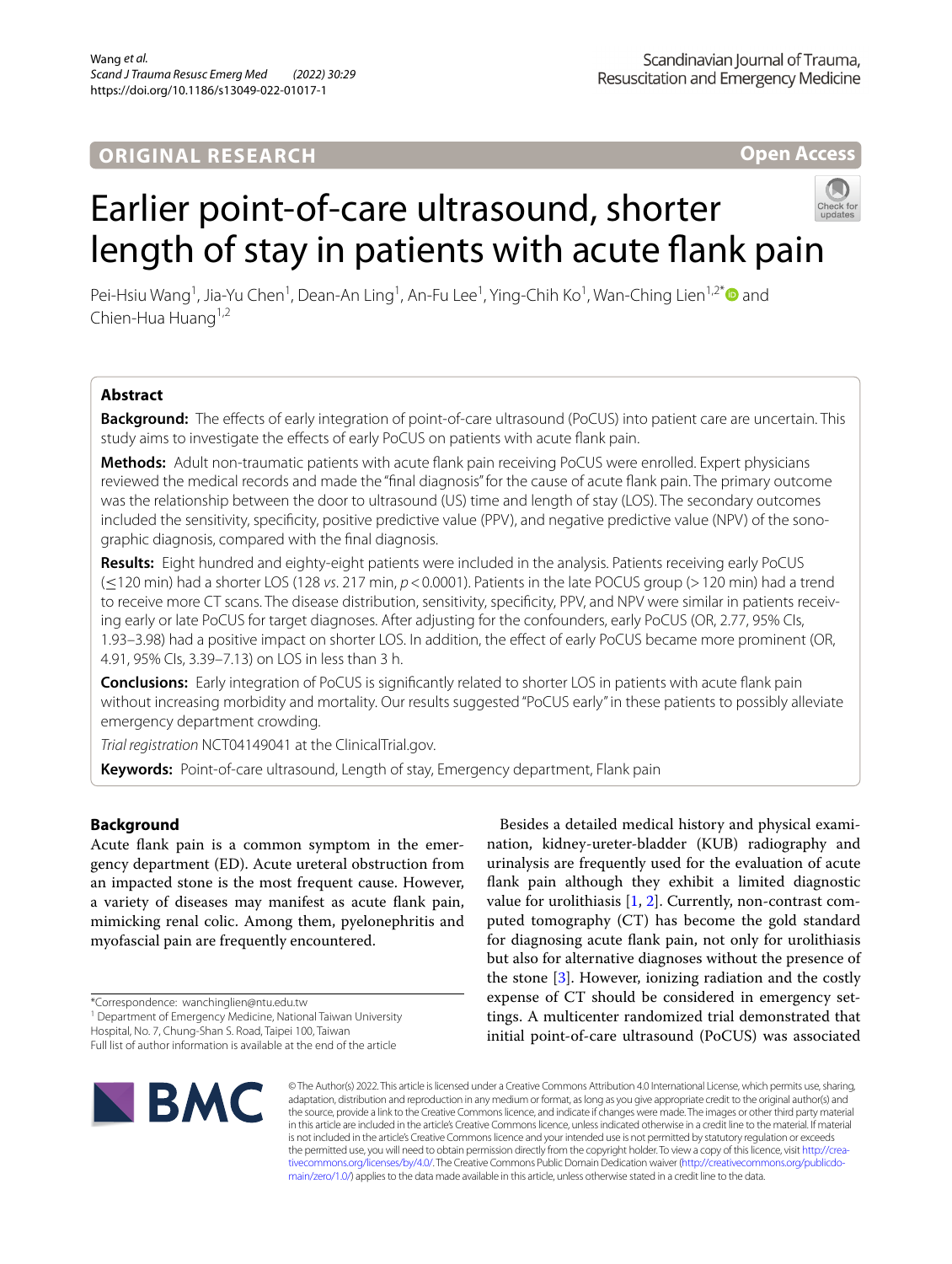# **ORIGINAL RESEARCH**

**Open Access**

# Earlier point-of-care ultrasound, shorter length of stay in patients with acute flank pain



Pei-Hsiu Wang<sup>1</sup>, Jia-Yu Chen<sup>1</sup>, Dean-An Ling<sup>1</sup>, An-Fu Lee<sup>1</sup>, Ying-Chih Ko<sup>1</sup>, Wan-Ching Lien<sup>1,2[\\*](http://orcid.org/0000-0001-9448-5093)</sup> and Chien-Hua Huang<sup>1,2</sup>

# **Abstract**

**Background:** The efects of early integration of point-of-care ultrasound (PoCUS) into patient care are uncertain. This study aims to investigate the efects of early PoCUS on patients with acute fank pain.

**Methods:** Adult non-traumatic patients with acute fank pain receiving PoCUS were enrolled. Expert physicians reviewed the medical records and made the "fnal diagnosis" for the cause of acute fank pain. The primary outcome was the relationship between the door to ultrasound (US) time and length of stay (LOS). The secondary outcomes included the sensitivity, specificity, positive predictive value (PPV), and negative predictive value (NPV) of the sonographic diagnosis, compared with the fnal diagnosis.

**Results:** Eight hundred and eighty-eight patients were included in the analysis. Patients receiving early PoCUS (≤120 min) had a shorter LOS (128 *vs*. 217 min, *p*<0.0001). Patients in the late POCUS group (>120 min) had a trend to receive more CT scans. The disease distribution, sensitivity, specificity, PPV, and NPV were similar in patients receiving early or late PoCUS for target diagnoses. After adjusting for the confounders, early PoCUS (OR, 2.77, 95% CIs, 1.93–3.98) had a positive impact on shorter LOS. In addition, the efect of early PoCUS became more prominent (OR, 4.91, 95% CIs, 3.39–7.13) on LOS in less than 3 h.

**Conclusions:** Early integration of PoCUS is signifcantly related to shorter LOS in patients with acute fank pain without increasing morbidity and mortality. Our results suggested "PoCUS early" in these patients to possibly alleviate emergency department crowding.

*Trial registration* NCT04149041 at the ClinicalTrial.gov.

**Keywords:** Point-of-care ultrasound, Length of stay, Emergency department, Flank pain

# **Background**

Acute fank pain is a common symptom in the emergency department (ED). Acute ureteral obstruction from an impacted stone is the most frequent cause. However, a variety of diseases may manifest as acute fank pain, mimicking renal colic. Among them, pyelonephritis and myofascial pain are frequently encountered.

<sup>1</sup> Department of Emergency Medicine, National Taiwan University

Full list of author information is available at the end of the article



Besides a detailed medical history and physical examination, kidney-ureter-bladder (KUB) radiography and urinalysis are frequently used for the evaluation of acute fank pain although they exhibit a limited diagnostic value for urolithiasis  $[1, 2]$  $[1, 2]$  $[1, 2]$  $[1, 2]$ . Currently, non-contrast computed tomography (CT) has become the gold standard for diagnosing acute fank pain, not only for urolithiasis but also for alternative diagnoses without the presence of the stone [\[3](#page-5-2)]. However, ionizing radiation and the costly expense of CT should be considered in emergency settings. A multicenter randomized trial demonstrated that initial point-of-care ultrasound (PoCUS) was associated

© The Author(s) 2022. This article is licensed under a Creative Commons Attribution 4.0 International License, which permits use, sharing, adaptation, distribution and reproduction in any medium or format, as long as you give appropriate credit to the original author(s) and the source, provide a link to the Creative Commons licence, and indicate if changes were made. The images or other third party material in this article are included in the article's Creative Commons licence, unless indicated otherwise in a credit line to the material. If material is not included in the article's Creative Commons licence and your intended use is not permitted by statutory regulation or exceeds the permitted use, you will need to obtain permission directly from the copyright holder. To view a copy of this licence, visit http://crea[tivecommons.org/licenses/by/4.0/.](http://creativecommons.org/licenses/by/4.0/) The Creative Commons Public Domain Dedication waiver (http://creativecommons.org/publicdo[main/zero/1.0/\)](http://creativecommons.org/publicdomain/zero/1.0/) applies to the data made available in this article, unless otherwise stated in a credit line to the data.

<sup>\*</sup>Correspondence: wanchinglien@ntu.edu.tw

Hospital, No. 7, Chung‑Shan S. Road, Taipei 100, Taiwan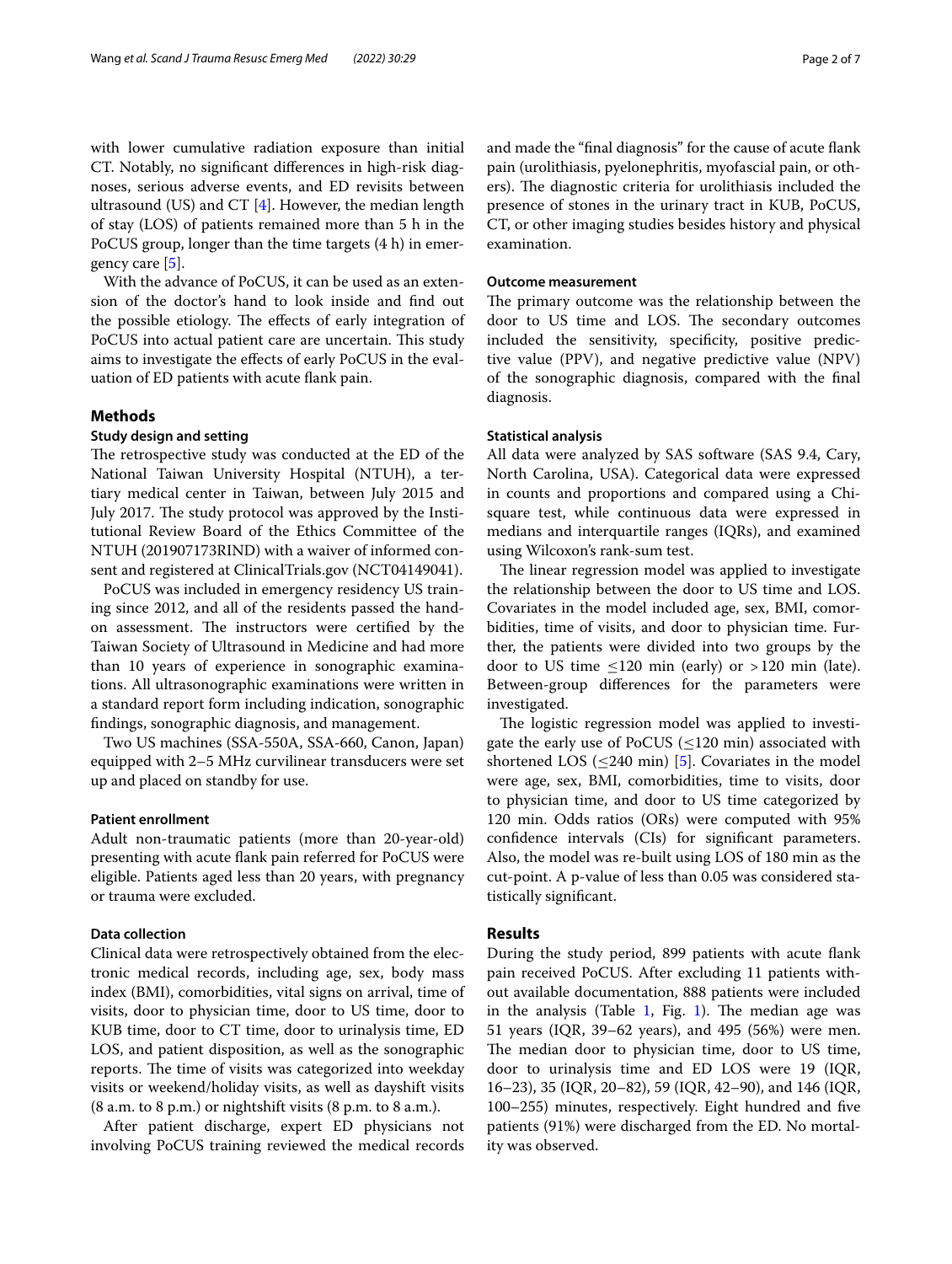with lower cumulative radiation exposure than initial CT. Notably, no signifcant diferences in high-risk diagnoses, serious adverse events, and ED revisits between ultrasound (US) and CT  $[4]$  $[4]$ . However, the median length of stay (LOS) of patients remained more than 5 h in the PoCUS group, longer than the time targets (4 h) in emergency care [\[5](#page-5-4)].

With the advance of PoCUS, it can be used as an extension of the doctor's hand to look inside and fnd out the possible etiology. The effects of early integration of PoCUS into actual patient care are uncertain. This study aims to investigate the efects of early PoCUS in the evaluation of ED patients with acute fank pain.

# **Methods**

# **Study design and setting**

The retrospective study was conducted at the ED of the National Taiwan University Hospital (NTUH), a tertiary medical center in Taiwan, between July 2015 and July 2017. The study protocol was approved by the Institutional Review Board of the Ethics Committee of the NTUH (201907173RIND) with a waiver of informed consent and registered at ClinicalTrials.gov (NCT04149041).

PoCUS was included in emergency residency US training since 2012, and all of the residents passed the handon assessment. The instructors were certified by the Taiwan Society of Ultrasound in Medicine and had more than 10 years of experience in sonographic examinations. All ultrasonographic examinations were written in a standard report form including indication, sonographic fndings, sonographic diagnosis, and management.

Two US machines (SSA-550A, SSA-660, Canon, Japan) equipped with 2–5 MHz curvilinear transducers were set up and placed on standby for use.

# **Patient enrollment**

Adult non-traumatic patients (more than 20-year-old) presenting with acute fank pain referred for PoCUS were eligible. Patients aged less than 20 years, with pregnancy or trauma were excluded.

## **Data collection**

Clinical data were retrospectively obtained from the electronic medical records, including age, sex, body mass index (BMI), comorbidities, vital signs on arrival, time of visits, door to physician time, door to US time, door to KUB time, door to CT time, door to urinalysis time, ED LOS, and patient disposition, as well as the sonographic reports. The time of visits was categorized into weekday visits or weekend/holiday visits, as well as dayshift visits (8 a.m. to 8 p.m.) or nightshift visits (8 p.m. to 8 a.m.).

After patient discharge, expert ED physicians not involving PoCUS training reviewed the medical records and made the "fnal diagnosis" for the cause of acute fank pain (urolithiasis, pyelonephritis, myofascial pain, or others). The diagnostic criteria for urolithiasis included the presence of stones in the urinary tract in KUB, PoCUS, CT, or other imaging studies besides history and physical examination.

# **Outcome measurement**

The primary outcome was the relationship between the door to US time and LOS. The secondary outcomes included the sensitivity, specifcity, positive predictive value (PPV), and negative predictive value (NPV) of the sonographic diagnosis, compared with the fnal diagnosis.

### **Statistical analysis**

All data were analyzed by SAS software (SAS 9.4, Cary, North Carolina, USA). Categorical data were expressed in counts and proportions and compared using a Chisquare test, while continuous data were expressed in medians and interquartile ranges (IQRs), and examined using Wilcoxon's rank-sum test.

The linear regression model was applied to investigate the relationship between the door to US time and LOS. Covariates in the model included age, sex, BMI, comorbidities, time of visits, and door to physician time. Further, the patients were divided into two groups by the door to US time  $\leq$ 120 min (early) or >120 min (late). Between-group diferences for the parameters were investigated.

The logistic regression model was applied to investigate the early use of PoCUS ( $\leq$ 120 min) associated with shortened LOS  $\left($  <240 min) [\[5](#page-5-4)]. Covariates in the model were age, sex, BMI, comorbidities, time to visits, door to physician time, and door to US time categorized by 120 min. Odds ratios (ORs) were computed with 95% confdence intervals (CIs) for signifcant parameters. Also, the model was re-built using LOS of 180 min as the cut-point. A p-value of less than 0.05 was considered statistically signifcant.

## **Results**

During the study period, 899 patients with acute fank pain received PoCUS. After excluding 11 patients without available documentation, 888 patients were included in the analysis (Table  $1$ , Fig. [1\)](#page-3-0). The median age was 51 years (IQR, 39–62 years), and 495 (56%) were men. The median door to physician time, door to US time, door to urinalysis time and ED LOS were 19 (IQR, 16–23), 35 (IQR, 20–82), 59 (IQR, 42–90), and 146 (IQR, 100–255) minutes, respectively. Eight hundred and fve patients (91%) were discharged from the ED. No mortality was observed.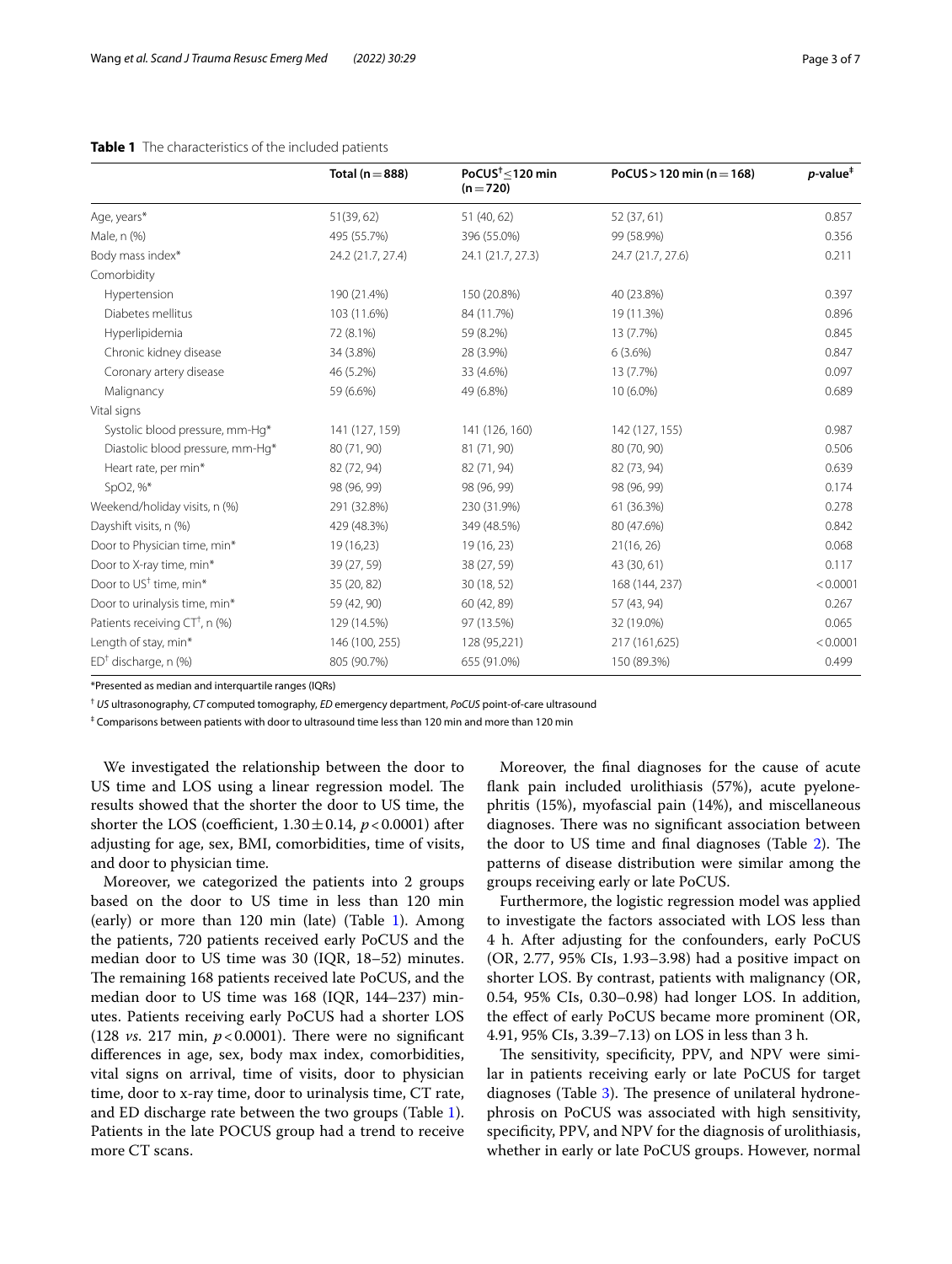# <span id="page-2-0"></span>**Table 1** The characteristics of the included patients

|                                           | Total ( $n = 888$ ) | PoCUS $\frac{1}{2}$ 120 min<br>$(n=720)$ | PoCUS > 120 min (n = 168) | $p$ -value <sup><math>\ddagger</math></sup> |
|-------------------------------------------|---------------------|------------------------------------------|---------------------------|---------------------------------------------|
| Age, years*                               | 51(39, 62)          | 51 (40, 62)                              | 52 (37, 61)               | 0.857                                       |
| Male, n (%)                               | 495 (55.7%)         | 396 (55.0%)                              | 99 (58.9%)                | 0.356                                       |
| Body mass index*                          | 24.2 (21.7, 27.4)   | 24.1 (21.7, 27.3)                        | 24.7 (21.7, 27.6)         | 0.211                                       |
| Comorbidity                               |                     |                                          |                           |                                             |
| Hypertension                              | 190 (21.4%)         | 150 (20.8%)                              | 40 (23.8%)                | 0.397                                       |
| Diabetes mellitus                         | 103 (11.6%)         | 84 (11.7%)                               | 19 (11.3%)                | 0.896                                       |
| Hyperlipidemia                            | 72 (8.1%)           | 59 (8.2%)                                | 13 (7.7%)                 | 0.845                                       |
| Chronic kidney disease                    | 34 (3.8%)           | 28 (3.9%)                                | 6(3.6%)                   | 0.847                                       |
| Coronary artery disease                   | 46 (5.2%)           | 33 (4.6%)                                | 13 (7.7%)                 | 0.097                                       |
| Malignancy                                | 59 (6.6%)           | 49 (6.8%)                                | 10 (6.0%)                 | 0.689                                       |
| Vital signs                               |                     |                                          |                           |                                             |
| Systolic blood pressure, mm-Hq*           | 141 (127, 159)      | 141 (126, 160)                           | 142 (127, 155)            | 0.987                                       |
| Diastolic blood pressure, mm-Hq*          | 80 (71, 90)         | 81 (71, 90)                              | 80 (70, 90)               | 0.506                                       |
| Heart rate, per min*                      | 82 (72, 94)         | 82 (71, 94)                              | 82 (73, 94)               | 0.639                                       |
| SpO2, %*                                  | 98 (96, 99)         | 98 (96, 99)                              | 98 (96, 99)               | 0.174                                       |
| Weekend/holiday visits, n (%)             | 291 (32.8%)         | 230 (31.9%)                              | 61 (36.3%)                | 0.278                                       |
| Dayshift visits, n (%)                    | 429 (48.3%)         | 349 (48.5%)                              | 80 (47.6%)                | 0.842                                       |
| Door to Physician time, min*              | 19(16,23)           | 19 (16, 23)                              | 21(16, 26)                | 0.068                                       |
| Door to X-ray time, min*                  | 39 (27, 59)         | 38 (27, 59)                              | 43 (30, 61)               | 0.117                                       |
| Door to US <sup>†</sup> time, min*        | 35 (20, 82)         | 30 (18, 52)                              | 168 (144, 237)            | < 0.0001                                    |
| Door to urinalysis time, min*             | 59 (42, 90)         | 60 (42, 89)                              | 57 (43, 94)               | 0.267                                       |
| Patients receiving $CT^{\dagger}$ , n (%) | 129 (14.5%)         | 97 (13.5%)                               | 32 (19.0%)                | 0.065                                       |
| Length of stay, min*                      | 146 (100, 255)      | 128 (95,221)                             | 217 (161,625)             | < 0.0001                                    |
| $ED^{\dagger}$ discharge, n (%)           | 805 (90.7%)         | 655 (91.0%)                              | 150 (89.3%)               | 0.499                                       |

\*Presented as median and interquartile ranges (IQRs)

† *US* ultrasonography, *CT* computed tomography, *ED* emergency department, *PoCUS* point-of-care ultrasound

 $^\ddag$  Comparisons between patients with door to ultrasound time less than 120 min and more than 120 min

We investigated the relationship between the door to US time and LOS using a linear regression model. The results showed that the shorter the door to US time, the shorter the LOS (coefficient,  $1.30 \pm 0.14$ ,  $p < 0.0001$ ) after adjusting for age, sex, BMI, comorbidities, time of visits, and door to physician time.

Moreover, we categorized the patients into 2 groups based on the door to US time in less than 120 min (early) or more than  $120$  $120$  min (late) (Table 1). Among the patients, 720 patients received early PoCUS and the median door to US time was 30 (IQR, 18–52) minutes. The remaining 168 patients received late PoCUS, and the median door to US time was 168 (IQR, 144–237) minutes. Patients receiving early PoCUS had a shorter LOS (128  $vs.$  217 min,  $p < 0.0001$ ). There were no significant diferences in age, sex, body max index, comorbidities, vital signs on arrival, time of visits, door to physician time, door to x-ray time, door to urinalysis time, CT rate, and ED discharge rate between the two groups (Table [1](#page-2-0)). Patients in the late POCUS group had a trend to receive more CT scans.

Moreover, the fnal diagnoses for the cause of acute fank pain included urolithiasis (57%), acute pyelonephritis (15%), myofascial pain (14%), and miscellaneous diagnoses. There was no significant association between the door to US time and final diagnoses (Table [2\)](#page-3-1). The patterns of disease distribution were similar among the groups receiving early or late PoCUS.

Furthermore, the logistic regression model was applied to investigate the factors associated with LOS less than 4 h. After adjusting for the confounders, early PoCUS (OR, 2.77, 95% CIs, 1.93–3.98) had a positive impact on shorter LOS. By contrast, patients with malignancy (OR, 0.54, 95% CIs, 0.30–0.98) had longer LOS. In addition, the efect of early PoCUS became more prominent (OR, 4.91, 95% CIs, 3.39–7.13) on LOS in less than 3 h.

The sensitivity, specificity, PPV, and NPV were similar in patients receiving early or late PoCUS for target diagnoses (Table  $3$ ). The presence of unilateral hydronephrosis on PoCUS was associated with high sensitivity, specifcity, PPV, and NPV for the diagnosis of urolithiasis, whether in early or late PoCUS groups. However, normal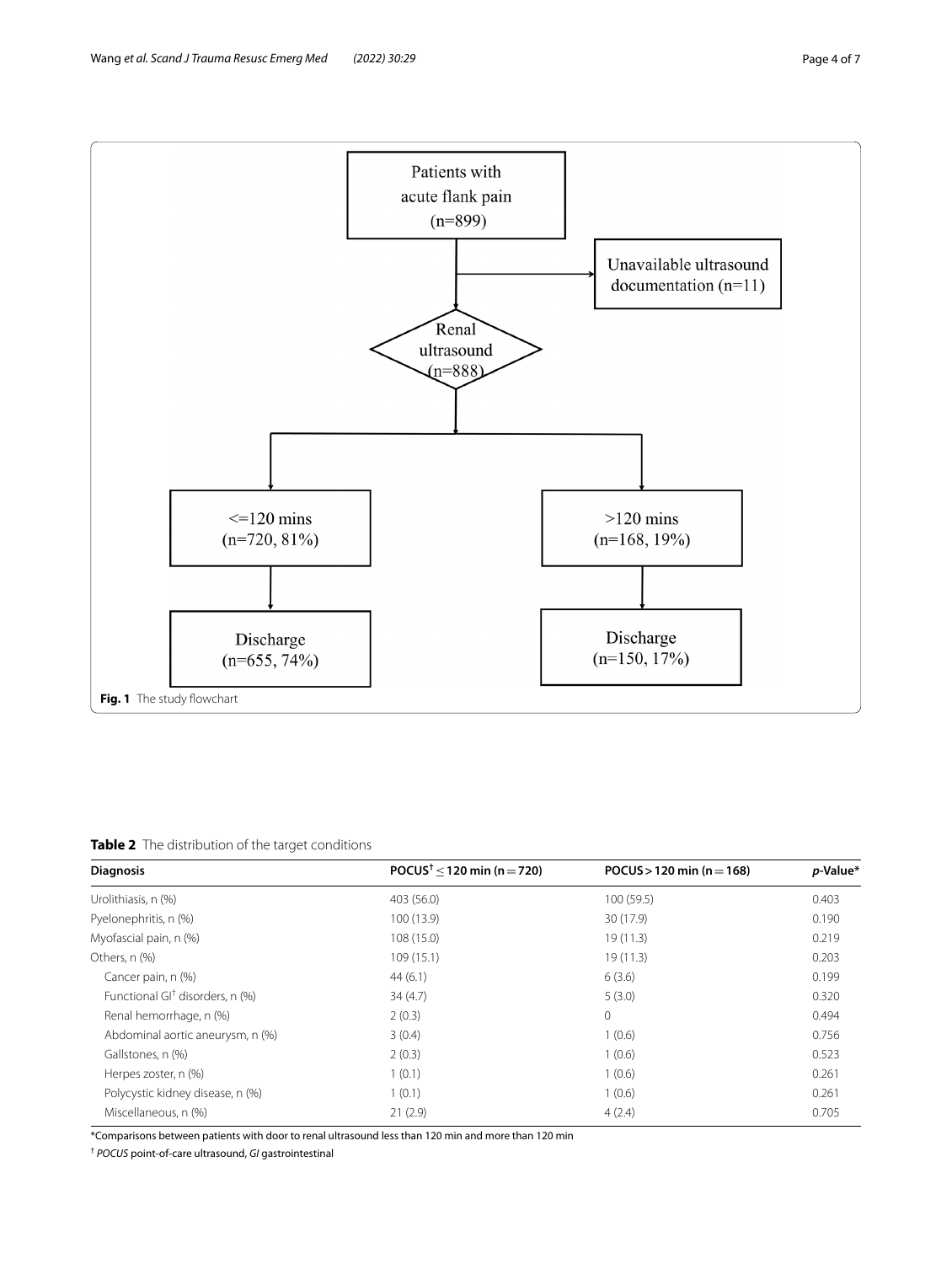

<span id="page-3-1"></span><span id="page-3-0"></span>**Table 2** The distribution of the target conditions

| <b>Diagnosis</b>                            | POCUS <sup>†</sup> < 120 min (n = 720) | POCUS > 120 min ( $n = 168$ ) | p-Value* |  |
|---------------------------------------------|----------------------------------------|-------------------------------|----------|--|
| Urolithiasis, n (%)                         | 403 (56.0)                             | 100(59.5)                     | 0.403    |  |
| Pyelonephritis, n (%)                       | 100 (13.9)                             | 30 (17.9)                     | 0.190    |  |
| Myofascial pain, n (%)                      | 108 (15.0)                             | 19(11.3)                      | 0.219    |  |
| Others, n (%)                               | 109 (15.1)                             | 19(11.3)                      | 0.203    |  |
| Cancer pain, n (%)                          | 44(6.1)                                | 6(3.6)                        | 0.199    |  |
| Functional GI <sup>†</sup> disorders, n (%) | 34(4.7)                                | 5(3.0)                        | 0.320    |  |
| Renal hemorrhage, n (%)                     | 2(0.3)                                 | $\mathbf 0$                   | 0.494    |  |
| Abdominal aortic aneurysm, n (%)            | 3(0.4)                                 | 1(0.6)                        | 0.756    |  |
| Gallstones, n (%)                           | 2(0.3)                                 | 1(0.6)                        | 0.523    |  |
| Herpes zoster, n (%)                        | 1(0.1)                                 | 1(0.6)                        | 0.261    |  |
| Polycystic kidney disease, n (%)            | 1(0.1)<br>1(0.6)                       |                               | 0.261    |  |
| Miscellaneous, n (%)                        | 21(2.9)                                | 4(2.4)                        | 0.705    |  |

\*Comparisons between patients with door to renal ultrasound less than 120 min and more than 120 min

† *POCUS* point-of-care ultrasound, *GI* gastrointestinal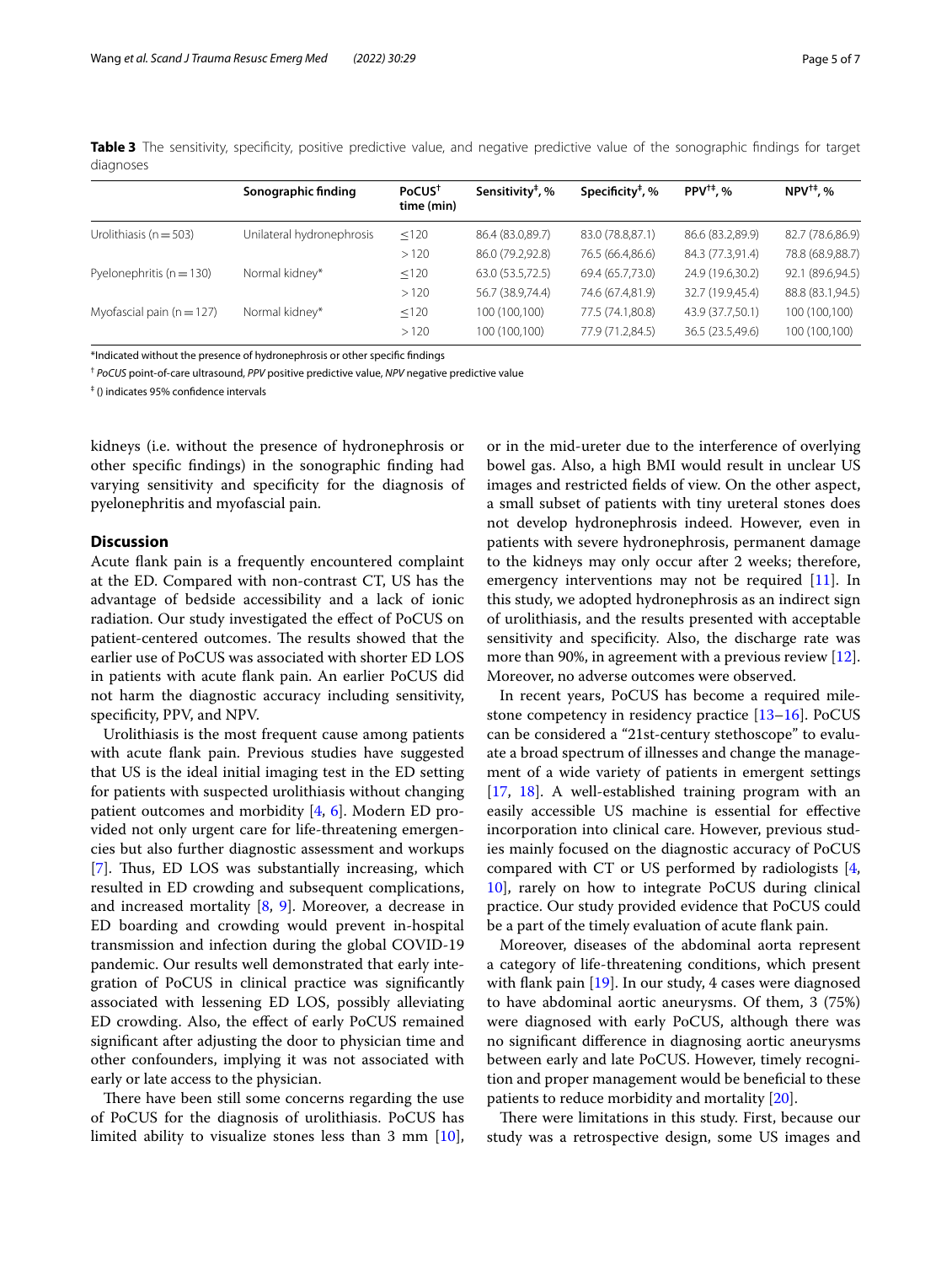<span id="page-4-0"></span>**Table 3** The sensitivity, specificity, positive predictive value, and negative predictive value of the sonographic findings for target diagnoses

|                               | Sonographic finding       | PoCUS <sup>†</sup><br>time (min) | Sensitivity <sup>#</sup> , % | Specificity <sup><math>#</math></sup> , % | $PPV^{\dagger\ddagger}$ , % | $NPV^{\dagger\ddagger}$ , % |
|-------------------------------|---------------------------|----------------------------------|------------------------------|-------------------------------------------|-----------------------------|-----------------------------|
| Urolithiasis ( $n = 503$ )    | Unilateral hydronephrosis | $\leq$ 120                       | 86.4 (83.0,89.7)             | 83.0 (78.8,87.1)                          | 86.6 (83.2,89.9)            | 82.7 (78.6,86.9)            |
|                               |                           | >120                             | 86.0 (79.2,92.8)             | 76.5 (66.4,86.6)                          | 84.3 (77.3,91.4)            | 78.8 (68.9,88.7)            |
| Pyelonephritis ( $n = 130$ )  | Normal kidney*            | < 120                            | 63.0 (53.5,72.5)             | 69.4 (65.7,73.0)                          | 24.9 (19.6,30.2)            | 92.1 (89.6,94.5)            |
|                               |                           | >120                             | 56.7 (38.9,74.4)             | 74.6 (67.4,81.9)                          | 32.7 (19.9,45.4)            | 88.8 (83.1,94.5)            |
| Myofascial pain ( $n = 127$ ) | Normal kidney*            | $\leq 120$                       | 100 (100,100)                | 77.5 (74.1,80.8)                          | 43.9 (37.7,50.1)            | 100 (100,100)               |
|                               |                           | >120                             | 100 (100,100)                | 77.9 (71.2,84.5)                          | 36.5 (23.5,49.6)            | 100 (100,100)               |

\*Indicated without the presence of hydronephrosis or other specifc fndings

† *PoCUS* point-of-care ultrasound, *PPV* positive predictive value, *NPV* negative predictive value

‡ () indicates 95% confdence intervals

kidneys (i.e. without the presence of hydronephrosis or other specifc fndings) in the sonographic fnding had varying sensitivity and specifcity for the diagnosis of pyelonephritis and myofascial pain.

# **Discussion**

Acute fank pain is a frequently encountered complaint at the ED. Compared with non-contrast CT, US has the advantage of bedside accessibility and a lack of ionic radiation. Our study investigated the efect of PoCUS on patient-centered outcomes. The results showed that the earlier use of PoCUS was associated with shorter ED LOS in patients with acute fank pain. An earlier PoCUS did not harm the diagnostic accuracy including sensitivity, specificity, PPV, and NPV.

Urolithiasis is the most frequent cause among patients with acute fank pain. Previous studies have suggested that US is the ideal initial imaging test in the ED setting for patients with suspected urolithiasis without changing patient outcomes and morbidity [[4](#page-5-3), [6\]](#page-5-5). Modern ED provided not only urgent care for life-threatening emergencies but also further diagnostic assessment and workups [[7\]](#page-5-6). Thus, ED LOS was substantially increasing, which resulted in ED crowding and subsequent complications, and increased mortality [[8,](#page-5-7) [9\]](#page-5-8). Moreover, a decrease in ED boarding and crowding would prevent in-hospital transmission and infection during the global COVID-19 pandemic. Our results well demonstrated that early integration of PoCUS in clinical practice was signifcantly associated with lessening ED LOS, possibly alleviating ED crowding. Also, the efect of early PoCUS remained signifcant after adjusting the door to physician time and other confounders, implying it was not associated with early or late access to the physician.

There have been still some concerns regarding the use of PoCUS for the diagnosis of urolithiasis. PoCUS has limited ability to visualize stones less than 3 mm [\[10](#page-5-9)], or in the mid-ureter due to the interference of overlying bowel gas. Also, a high BMI would result in unclear US images and restricted felds of view. On the other aspect, a small subset of patients with tiny ureteral stones does not develop hydronephrosis indeed. However, even in patients with severe hydronephrosis, permanent damage to the kidneys may only occur after 2 weeks; therefore, emergency interventions may not be required [[11\]](#page-5-10). In this study, we adopted hydronephrosis as an indirect sign of urolithiasis, and the results presented with acceptable sensitivity and specifcity. Also, the discharge rate was more than 90%, in agreement with a previous review [\[12](#page-5-11)]. Moreover, no adverse outcomes were observed.

In recent years, PoCUS has become a required milestone competency in residency practice [[13–](#page-5-12)[16](#page-6-0)]. PoCUS can be considered a "21st-century stethoscope" to evaluate a broad spectrum of illnesses and change the management of a wide variety of patients in emergent settings [[17,](#page-6-1) [18\]](#page-6-2). A well-established training program with an easily accessible US machine is essential for efective incorporation into clinical care. However, previous studies mainly focused on the diagnostic accuracy of PoCUS compared with CT or US performed by radiologists [\[4](#page-5-3), [10\]](#page-5-9), rarely on how to integrate PoCUS during clinical practice. Our study provided evidence that PoCUS could be a part of the timely evaluation of acute fank pain.

Moreover, diseases of the abdominal aorta represent a category of life-threatening conditions, which present with flank pain [[19\]](#page-6-3). In our study, 4 cases were diagnosed to have abdominal aortic aneurysms. Of them, 3 (75%) were diagnosed with early PoCUS, although there was no signifcant diference in diagnosing aortic aneurysms between early and late PoCUS. However, timely recognition and proper management would be benefcial to these patients to reduce morbidity and mortality [\[20\]](#page-6-4).

There were limitations in this study. First, because our study was a retrospective design, some US images and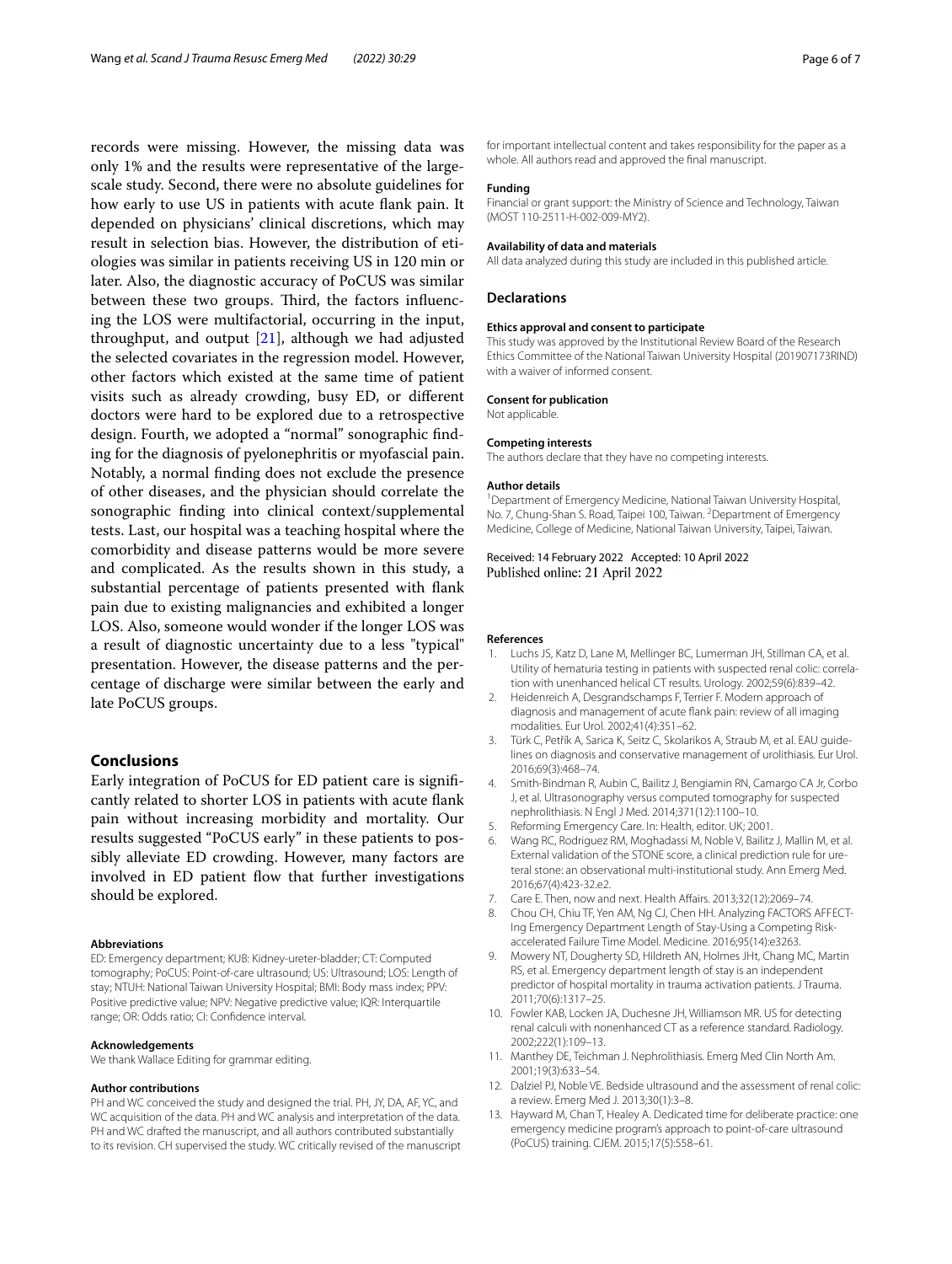records were missing. However, the missing data was only 1% and the results were representative of the largescale study. Second, there were no absolute guidelines for how early to use US in patients with acute fank pain. It depended on physicians' clinical discretions, which may result in selection bias. However, the distribution of etiologies was similar in patients receiving US in 120 min or later. Also, the diagnostic accuracy of PoCUS was similar between these two groups. Third, the factors influencing the LOS were multifactorial, occurring in the input, throughput, and output [[21\]](#page-6-5), although we had adjusted the selected covariates in the regression model. However, other factors which existed at the same time of patient visits such as already crowding, busy ED, or diferent doctors were hard to be explored due to a retrospective design. Fourth, we adopted a "normal" sonographic fnding for the diagnosis of pyelonephritis or myofascial pain. Notably, a normal fnding does not exclude the presence of other diseases, and the physician should correlate the sonographic fnding into clinical context/supplemental tests. Last, our hospital was a teaching hospital where the comorbidity and disease patterns would be more severe and complicated. As the results shown in this study, a substantial percentage of patients presented with fank pain due to existing malignancies and exhibited a longer LOS. Also, someone would wonder if the longer LOS was a result of diagnostic uncertainty due to a less "typical" presentation. However, the disease patterns and the percentage of discharge were similar between the early and late PoCUS groups.

# **Conclusions**

Early integration of PoCUS for ED patient care is signifcantly related to shorter LOS in patients with acute fank pain without increasing morbidity and mortality. Our results suggested "PoCUS early" in these patients to possibly alleviate ED crowding. However, many factors are involved in ED patient flow that further investigations should be explored.

#### **Abbreviations**

ED: Emergency department; KUB: Kidney-ureter-bladder; CT: Computed tomography; PoCUS: Point-of-care ultrasound; US: Ultrasound; LOS: Length of stay; NTUH: National Taiwan University Hospital; BMI: Body mass index; PPV: Positive predictive value; NPV: Negative predictive value; IQR: Interquartile range; OR: Odds ratio; CI: Confdence interval.

#### **Acknowledgements**

We thank Wallace Editing for grammar editing.

#### **Author contributions**

PH and WC conceived the study and designed the trial. PH, JY, DA, AF, YC, and WC acquisition of the data. PH and WC analysis and interpretation of the data. PH and WC drafted the manuscript, and all authors contributed substantially to its revision. CH supervised the study. WC critically revised of the manuscript for important intellectual content and takes responsibility for the paper as a whole. All authors read and approved the fnal manuscript.

#### **Funding**

Financial or grant support: the Ministry of Science and Technology, Taiwan (MOST 110-2511-H-002-009-MY2).

#### **Availability of data and materials**

All data analyzed during this study are included in this published article.

#### **Declarations**

# **Ethics approval and consent to participate**

This study was approved by the Institutional Review Board of the Research Ethics Committee of the National Taiwan University Hospital (201907173RIND) with a waiver of informed consent.

#### **Consent for publication**

Not applicable.

#### **Competing interests**

The authors declare that they have no competing interests.

#### **Author details**

<sup>1</sup> Department of Emergency Medicine, National Taiwan University Hospital, No. 7, Chung-Shan S. Road, Taipei 100, Taiwan. <sup>2</sup> Department of Emergency Medicine, College of Medicine, National Taiwan University, Taipei, Taiwan.

Received: 14 February 2022 Accepted: 10 April 2022 Published online: 21 April 2022

#### **References**

- <span id="page-5-0"></span>1. Luchs JS, Katz D, Lane M, Mellinger BC, Lumerman JH, Stillman CA, et al. Utility of hematuria testing in patients with suspected renal colic: correlation with unenhanced helical CT results. Urology. 2002;59(6):839–42.
- <span id="page-5-1"></span>2. Heidenreich A, Desgrandschamps F, Terrier F. Modern approach of diagnosis and management of acute fank pain: review of all imaging modalities. Eur Urol. 2002;41(4):351–62.
- <span id="page-5-2"></span>3. Türk C, Petřík A, Sarica K, Seitz C, Skolarikos A, Straub M, et al. EAU guidelines on diagnosis and conservative management of urolithiasis. Eur Urol. 2016;69(3):468–74.
- <span id="page-5-3"></span>4. Smith-Bindman R, Aubin C, Bailitz J, Bengiamin RN, Camargo CA Jr, Corbo J, et al. Ultrasonography versus computed tomography for suspected nephrolithiasis. N Engl J Med. 2014;371(12):1100–10.
- <span id="page-5-4"></span>5. Reforming Emergency Care. In: Health, editor. UK; 2001.
- <span id="page-5-5"></span>6. Wang RC, Rodriguez RM, Moghadassi M, Noble V, Bailitz J, Mallin M, et al. External validation of the STONE score, a clinical prediction rule for ureteral stone: an observational multi-institutional study. Ann Emerg Med. 2016;67(4):423-32.e2.
- <span id="page-5-6"></span>7. Care E. Then, now and next. Health Afairs. 2013;32(12):2069–74.
- <span id="page-5-7"></span>8. Chou CH, Chiu TF, Yen AM, Ng CJ, Chen HH. Analyzing FACTORS AFFECT-Ing Emergency Department Length of Stay-Using a Competing Riskaccelerated Failure Time Model. Medicine. 2016;95(14):e3263.
- <span id="page-5-8"></span>9. Mowery NT, Dougherty SD, Hildreth AN, Holmes JHt, Chang MC, Martin RS, et al. Emergency department length of stay is an independent predictor of hospital mortality in trauma activation patients. J Trauma. 2011;70(6):1317–25.
- <span id="page-5-9"></span>10. Fowler KAB, Locken JA, Duchesne JH, Williamson MR. US for detecting renal calculi with nonenhanced CT as a reference standard. Radiology. 2002;222(1):109–13.
- <span id="page-5-10"></span>11. Manthey DE, Teichman J. Nephrolithiasis. Emerg Med Clin North Am. 2001;19(3):633–54.
- <span id="page-5-11"></span>12. Dalziel PJ, Noble VE. Bedside ultrasound and the assessment of renal colic: a review. Emerg Med J. 2013;30(1):3–8.
- <span id="page-5-12"></span>13. Hayward M, Chan T, Healey A. Dedicated time for deliberate practice: one emergency medicine program's approach to point-of-care ultrasound (PoCUS) training. CJEM. 2015;17(5):558–61.